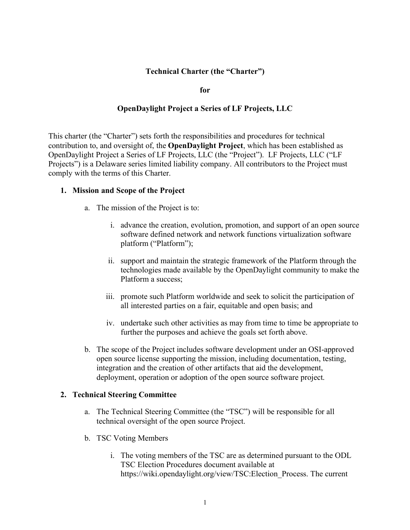### **Technical Charter (the "Charter")**

**for**

#### **OpenDaylight Project a Series of LF Projects, LLC**

This charter (the "Charter") sets forth the responsibilities and procedures for technical contribution to, and oversight of, the **OpenDaylight Project**, which has been established as OpenDaylight Project a Series of LF Projects, LLC (the "Project"). LF Projects, LLC ("LF Projects") is a Delaware series limited liability company. All contributors to the Project must comply with the terms of this Charter.

#### **1. Mission and Scope of the Project**

- a. The mission of the Project is to:
	- i. advance the creation, evolution, promotion, and support of an open source software defined network and network functions virtualization software platform ("Platform");
	- ii. support and maintain the strategic framework of the Platform through the technologies made available by the OpenDaylight community to make the Platform a success;
	- iii. promote such Platform worldwide and seek to solicit the participation of all interested parties on a fair, equitable and open basis; and
	- iv. undertake such other activities as may from time to time be appropriate to further the purposes and achieve the goals set forth above.
- b. The scope of the Project includes software development under an OSI-approved open source license supporting the mission, including documentation, testing, integration and the creation of other artifacts that aid the development, deployment, operation or adoption of the open source software project.

#### **2. Technical Steering Committee**

- a. The Technical Steering Committee (the "TSC") will be responsible for all technical oversight of the open source Project.
- b. TSC Voting Members
	- i. The voting members of the TSC are as determined pursuant to the ODL TSC Election Procedures document available at https://wiki.opendaylight.org/view/TSC:Election\_Process. The current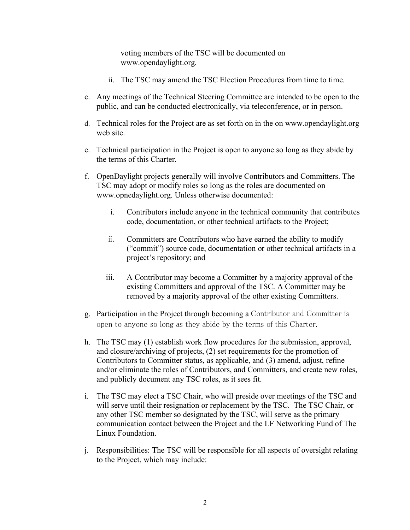voting members of the TSC will be documented on www.opendaylight.org.

- ii. The TSC may amend the TSC Election Procedures from time to time.
- c. Any meetings of the Technical Steering Committee are intended to be open to the public, and can be conducted electronically, via teleconference, or in person.
- d. Technical roles for the Project are as set forth on in the on www.opendaylight.org web site.
- e. Technical participation in the Project is open to anyone so long as they abide by the terms of this Charter.
- f. OpenDaylight projects generally will involve Contributors and Committers. The TSC may adopt or modify roles so long as the roles are documented on www.opnedaylight.org. Unless otherwise documented:
	- i. Contributors include anyone in the technical community that contributes code, documentation, or other technical artifacts to the Project;
	- ii. Committers are Contributors who have earned the ability to modify ("commit") source code, documentation or other technical artifacts in a project's repository; and
	- iii. A Contributor may become a Committer by a majority approval of the existing Committers and approval of the TSC. A Committer may be removed by a majority approval of the other existing Committers.
- g. Participation in the Project through becoming a Contributor and Committer is open to anyone so long as they abide by the terms of this Charter.
- h. The TSC may (1) establish work flow procedures for the submission, approval, and closure/archiving of projects, (2) set requirements for the promotion of Contributors to Committer status, as applicable, and (3) amend, adjust, refine and/or eliminate the roles of Contributors, and Committers, and create new roles, and publicly document any TSC roles, as it sees fit.
- i. The TSC may elect a TSC Chair, who will preside over meetings of the TSC and will serve until their resignation or replacement by the TSC. The TSC Chair, or any other TSC member so designated by the TSC, will serve as the primary communication contact between the Project and the LF Networking Fund of The Linux Foundation.
- j. Responsibilities: The TSC will be responsible for all aspects of oversight relating to the Project, which may include: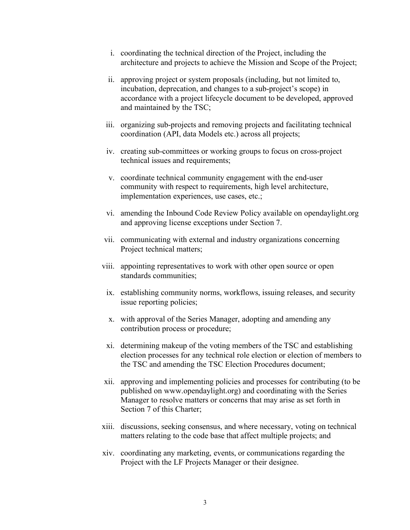- i. coordinating the technical direction of the Project, including the architecture and projects to achieve the Mission and Scope of the Project;
- ii. approving project or system proposals (including, but not limited to, incubation, deprecation, and changes to a sub-project's scope) in accordance with a project lifecycle document to be developed, approved and maintained by the TSC;
- iii. organizing sub-projects and removing projects and facilitating technical coordination (API, data Models etc.) across all projects;
- iv. creating sub-committees or working groups to focus on cross-project technical issues and requirements;
- v. coordinate technical community engagement with the end-user community with respect to requirements, high level architecture, implementation experiences, use cases, etc.;
- vi. amending the Inbound Code Review Policy available on opendaylight.org and approving license exceptions under Section 7.
- vii. communicating with external and industry organizations concerning Project technical matters;
- viii. appointing representatives to work with other open source or open standards communities;
	- ix. establishing community norms, workflows, issuing releases, and security issue reporting policies;
	- x. with approval of the Series Manager, adopting and amending any contribution process or procedure;
	- xi. determining makeup of the voting members of the TSC and establishing election processes for any technical role election or election of members to the TSC and amending the TSC Election Procedures document;
- xii. approving and implementing policies and processes for contributing (to be published on www.opendaylight.org) and coordinating with the Series Manager to resolve matters or concerns that may arise as set forth in Section 7 of this Charter;
- xiii. discussions, seeking consensus, and where necessary, voting on technical matters relating to the code base that affect multiple projects; and
- xiv. coordinating any marketing, events, or communications regarding the Project with the LF Projects Manager or their designee.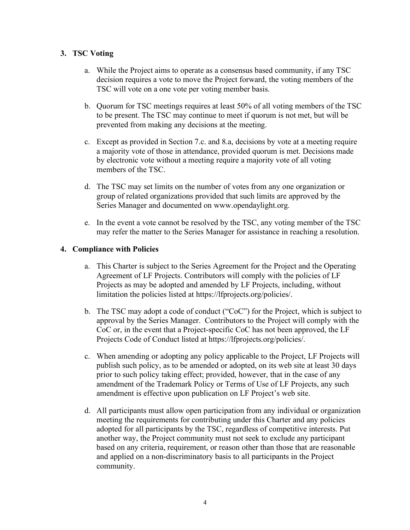## **3. TSC Voting**

- a. While the Project aims to operate as a consensus based community, if any TSC decision requires a vote to move the Project forward, the voting members of the TSC will vote on a one vote per voting member basis.
- b. Quorum for TSC meetings requires at least 50% of all voting members of the TSC to be present. The TSC may continue to meet if quorum is not met, but will be prevented from making any decisions at the meeting.
- c. Except as provided in Section 7.c. and 8.a, decisions by vote at a meeting require a majority vote of those in attendance, provided quorum is met. Decisions made by electronic vote without a meeting require a majority vote of all voting members of the TSC.
- d. The TSC may set limits on the number of votes from any one organization or group of related organizations provided that such limits are approved by the Series Manager and documented on www.opendaylight.org.
- e. In the event a vote cannot be resolved by the TSC, any voting member of the TSC may refer the matter to the Series Manager for assistance in reaching a resolution.

### **4. Compliance with Policies**

- a. This Charter is subject to the Series Agreement for the Project and the Operating Agreement of LF Projects. Contributors will comply with the policies of LF Projects as may be adopted and amended by LF Projects, including, without limitation the policies listed at https://lfprojects.org/policies/.
- b. The TSC may adopt a code of conduct ("CoC") for the Project, which is subject to approval by the Series Manager. Contributors to the Project will comply with the CoC or, in the event that a Project-specific CoC has not been approved, the LF Projects Code of Conduct listed at https://lfprojects.org/policies/.
- c. When amending or adopting any policy applicable to the Project, LF Projects will publish such policy, as to be amended or adopted, on its web site at least 30 days prior to such policy taking effect; provided, however, that in the case of any amendment of the Trademark Policy or Terms of Use of LF Projects, any such amendment is effective upon publication on LF Project's web site.
- d. All participants must allow open participation from any individual or organization meeting the requirements for contributing under this Charter and any policies adopted for all participants by the TSC, regardless of competitive interests. Put another way, the Project community must not seek to exclude any participant based on any criteria, requirement, or reason other than those that are reasonable and applied on a non-discriminatory basis to all participants in the Project community.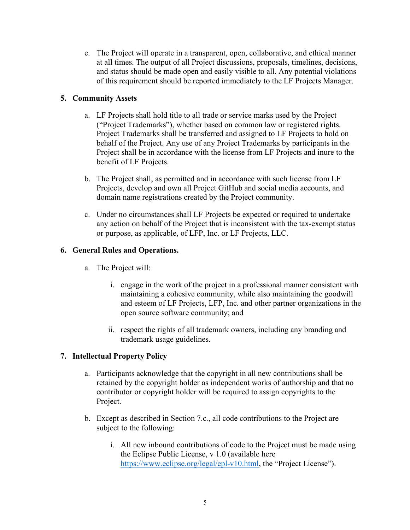e. The Project will operate in a transparent, open, collaborative, and ethical manner at all times. The output of all Project discussions, proposals, timelines, decisions, and status should be made open and easily visible to all. Any potential violations of this requirement should be reported immediately to the LF Projects Manager.

# **5. Community Assets**

- a. LF Projects shall hold title to all trade or service marks used by the Project ("Project Trademarks"), whether based on common law or registered rights. Project Trademarks shall be transferred and assigned to LF Projects to hold on behalf of the Project. Any use of any Project Trademarks by participants in the Project shall be in accordance with the license from LF Projects and inure to the benefit of LF Projects.
- b. The Project shall, as permitted and in accordance with such license from LF Projects, develop and own all Project GitHub and social media accounts, and domain name registrations created by the Project community.
- c. Under no circumstances shall LF Projects be expected or required to undertake any action on behalf of the Project that is inconsistent with the tax-exempt status or purpose, as applicable, of LFP, Inc. or LF Projects, LLC.

### **6. General Rules and Operations.**

- a. The Project will:
	- i. engage in the work of the project in a professional manner consistent with maintaining a cohesive community, while also maintaining the goodwill and esteem of LF Projects, LFP, Inc. and other partner organizations in the open source software community; and
	- ii. respect the rights of all trademark owners, including any branding and trademark usage guidelines.

### **7. Intellectual Property Policy**

- a. Participants acknowledge that the copyright in all new contributions shall be retained by the copyright holder as independent works of authorship and that no contributor or copyright holder will be required to assign copyrights to the Project.
- b. Except as described in Section 7.c., all code contributions to the Project are subject to the following:
	- i. All new inbound contributions of code to the Project must be made using the Eclipse Public License, v 1.0 (available here https://www.eclipse.org/legal/epl-v10.html, the "Project License").